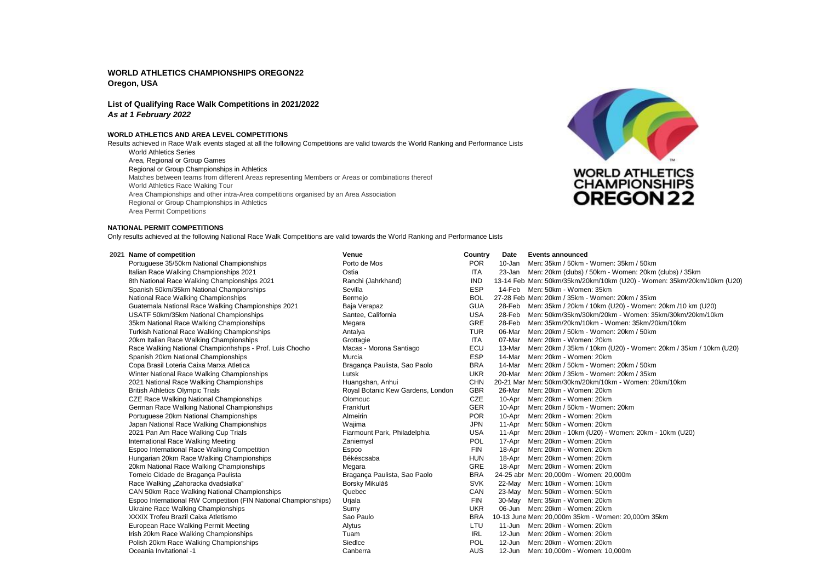# **WORLD ATHLETICS CHAMPIONSHIPS OREGON22 Oregon, USA**

# **List of Qualifying Race Walk Competitions in 2021/2022** *As at 1 February 2022*

## **WORLD ATHLETICS AND AREA LEVEL COMPETITIONS**

World Athletics Series Area, Regional or Group Games Regional or Group Championships in Athletics Matches between teams from different Areas representing Members or Areas or combinations thereof World Athletics Race Waking Tour Area Championships and other intra-Area competitions organised by an Area Association Regional or Group Championships in Athletics Area Permit Competitions Results achieved in Race Walk events staged at all the following Competitions are valid towards the World Ranking and Performance Lists



### **NATIONAL PERMIT COMPETITIONS**

Only results achieved at the following National Race Walk Competitions are valid towards the World Ranking and Performance Lists

| 2021 Name of competition                                        | Venue                             | Country    | Date   | <b>Events announced</b>                                                |
|-----------------------------------------------------------------|-----------------------------------|------------|--------|------------------------------------------------------------------------|
| Portuguese 35/50km National Championships                       | Porto de Mos                      | <b>POR</b> | 10-Jan | Men: 35km / 50km - Women: 35km / 50km                                  |
| Italian Race Walking Championships 2021                         | Ostia                             | <b>ITA</b> |        | 23-Jan Men: 20km (clubs) / 50km - Women: 20km (clubs) / 35km           |
| 8th National Race Walking Championships 2021                    | Ranchi (Jahrkhand)                | <b>IND</b> |        | 13-14 Feb Men: 50km/35km/20km/10km (U20) - Women: 35km/20km/10km (U20) |
| Spanish 50km/35km National Championships                        | Sevilla                           | <b>ESP</b> | 14-Feb | Men: 50km - Women: 35km                                                |
| National Race Walking Championships                             | Bermejo                           | <b>BOL</b> |        | 27-28 Feb Men: 20km / 35km - Women: 20km / 35km                        |
| Guatemala National Race Walking Championships 2021              | Baja Verapaz                      | <b>GUA</b> | 28-Feb | Men: 35km / 20km / 10km (U20) - Women: 20km /10 km (U20)               |
| USATF 50km/35km National Championships                          | Santee, California                | <b>USA</b> | 28-Feb | Men: 50km/35km/30km/20km - Women: 35km/30km/20km/10km                  |
| 35km National Race Walking Championships                        | Megara                            | <b>GRE</b> | 28-Feb | Men: 35km/20km/10km - Women: 35km/20km/10km                            |
| Turkish National Race Walking Championships                     | Antalya                           | <b>TUR</b> | 06-Mar | Men: 20km / 50km - Women: 20km / 50km                                  |
| 20km Italian Race Walking Championships                         | Grottagie                         | <b>ITA</b> | 07-Mar | Men: 20km - Women: 20km                                                |
| Race Walking National Championhships - Prof. Luis Chocho        | Macas - Morona Santiago           | ECU        | 13-Mar | Men: 20km / 35km / 10km (U20) - Women: 20km / 35km / 10km (U20)        |
| Spanish 20km National Championships                             | Murcia                            | <b>ESP</b> | 14-Mar | Men: 20km - Women: 20km                                                |
| Copa Brasil Loteria Caixa Marxa Atletica                        | Bragança Paulista, Sao Paolo      | <b>BRA</b> | 14-Mar | Men: 20km / 50km - Women: 20km / 50km                                  |
| Winter National Race Walking Championships                      | Lutsk                             | <b>UKR</b> | 20-Mar | Men: 20km / 35km - Women: 20km / 35km                                  |
| 2021 National Race Walking Championships                        | Huangshan, Anhui                  | <b>CHN</b> |        | 20-21 Mar Men: 50km/30km/20km/10km - Women: 20km/10km                  |
| <b>British Athletics Olympic Trials</b>                         | Royal Botanic Kew Gardens, London | <b>GBR</b> | 26-Mar | Men: 20km - Women: 20km                                                |
| <b>CZE Race Walking National Championships</b>                  | Olomouc                           | <b>CZE</b> | 10-Apr | Men: 20km - Women: 20km                                                |
| German Race Walking National Championships                      | Frankfurt                         | GER        | 10-Apr | Men: 20km / 50km - Women: 20km                                         |
| Portuguese 20km National Championships                          | Almeirin                          | <b>POR</b> | 10-Apr | Men: 20km - Women: 20km                                                |
| Japan National Race Walking Championships                       | Wajima                            | <b>JPN</b> |        | 11-Apr Men: 50km - Women: 20km                                         |
| 2021 Pan Am Race Walking Cup Trials                             | Fiarmount Park, Philadelphia      | <b>USA</b> |        | 11-Apr Men: 20km - 10km (U20) - Women: 20km - 10km (U20)               |
| International Race Walking Meeting                              | Zaniemysl                         | POL        | 17-Apr | Men: 20km - Women: 20km                                                |
| Espoo International Race Walking Competition                    | Espoo                             | <b>FIN</b> | 18-Apr | Men: 20km - Women: 20km                                                |
| Hungarian 20km Race Walking Championships                       | Békéscsaba                        | <b>HUN</b> | 18-Apr | Men: 20km - Women: 20km                                                |
| 20km National Race Walking Championships                        | Megara                            | GRE        |        | 18-Apr Men: 20km - Women: 20km                                         |
| Torneio Cidade de Bragança Paulista                             | Braganca Paulista, Sao Paolo      | <b>BRA</b> |        | 24-25 abr Men: 20,000m - Women: 20,000m                                |
| Race Walking "Zahoracka dvadsiatka"                             | Borsky Mikuláš                    | <b>SVK</b> |        | 22-May Men: 10km - Women: 10km                                         |
| CAN 50km Race Walking National Championships                    | Quebec                            | CAN        |        | 23-May Men: 50km - Women: 50km                                         |
| Espoo International RW Competition (FIN National Championships) | Urjala                            | <b>FIN</b> |        | 30-May Men: 35km - Women: 20km                                         |
| Ukraine Race Walking Championships                              | Sumy                              | <b>UKR</b> |        | 06-Jun Men: 20km - Women: 20km                                         |
| XXXIX Trofeu Brazil Caixa Atletismo                             | Sao Paulo                         | <b>BRA</b> |        | 10-13 June Men: 20,000m 35km - Women: 20,000m 35km                     |
| European Race Walking Permit Meeting                            | Alytus                            | LTU        |        | 11-Jun Men: 20km - Women: 20km                                         |
| Irish 20km Race Walking Championships                           | Tuam                              | <b>IRL</b> | 12-Jun | Men: 20km - Women: 20km                                                |
| Polish 20km Race Walking Championships                          | Siedice                           | POL        | 12-Jun | Men: 20km - Women: 20km                                                |
| Oceania Invitational -1                                         | Canberra                          | <b>AUS</b> |        | 12-Jun Men: 10.000m - Women: 10.000m                                   |
|                                                                 |                                   |            |        |                                                                        |